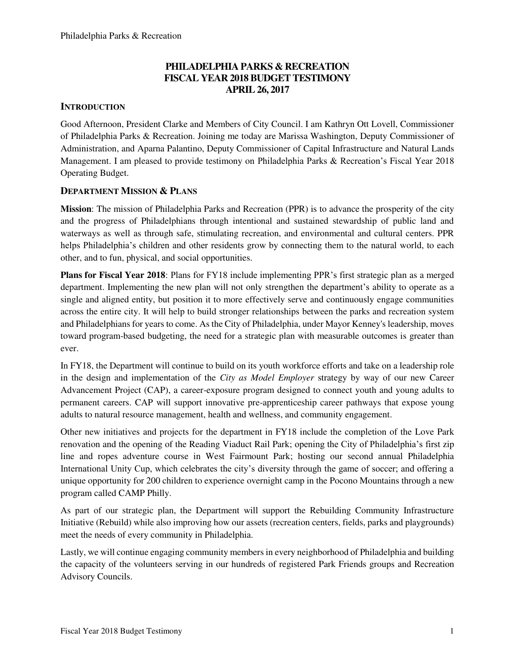# **PHILADELPHIA PARKS & RECREATION FISCAL YEAR 2018 BUDGET TESTIMONY APRIL 26, 2017**

## **INTRODUCTION**

Good Afternoon, President Clarke and Members of City Council. I am Kathryn Ott Lovell, Commissioner of Philadelphia Parks & Recreation. Joining me today are Marissa Washington, Deputy Commissioner of Administration, and Aparna Palantino, Deputy Commissioner of Capital Infrastructure and Natural Lands Management. I am pleased to provide testimony on Philadelphia Parks & Recreation's Fiscal Year 2018 Operating Budget.

#### **DEPARTMENT MISSION & PLANS**

**Mission**: The mission of Philadelphia Parks and Recreation (PPR) is to advance the prosperity of the city and the progress of Philadelphians through intentional and sustained stewardship of public land and waterways as well as through safe, stimulating recreation, and environmental and cultural centers. PPR helps Philadelphia's children and other residents grow by connecting them to the natural world, to each other, and to fun, physical, and social opportunities.

**Plans for Fiscal Year 2018**: Plans for FY18 include implementing PPR's first strategic plan as a merged department. Implementing the new plan will not only strengthen the department's ability to operate as a single and aligned entity, but position it to more effectively serve and continuously engage communities across the entire city. It will help to build stronger relationships between the parks and recreation system and Philadelphians for years to come. As the City of Philadelphia, under Mayor Kenney's leadership, moves toward program-based budgeting, the need for a strategic plan with measurable outcomes is greater than ever.

In FY18, the Department will continue to build on its youth workforce efforts and take on a leadership role in the design and implementation of the *City as Model Employer* strategy by way of our new Career Advancement Project (CAP), a career-exposure program designed to connect youth and young adults to permanent careers. CAP will support innovative pre-apprenticeship career pathways that expose young adults to natural resource management, health and wellness, and community engagement.

Other new initiatives and projects for the department in FY18 include the completion of the Love Park renovation and the opening of the Reading Viaduct Rail Park; opening the City of Philadelphia's first zip line and ropes adventure course in West Fairmount Park; hosting our second annual Philadelphia International Unity Cup, which celebrates the city's diversity through the game of soccer; and offering a unique opportunity for 200 children to experience overnight camp in the Pocono Mountains through a new program called CAMP Philly.

As part of our strategic plan, the Department will support the Rebuilding Community Infrastructure Initiative (Rebuild) while also improving how our assets (recreation centers, fields, parks and playgrounds) meet the needs of every community in Philadelphia.

Lastly, we will continue engaging community members in every neighborhood of Philadelphia and building the capacity of the volunteers serving in our hundreds of registered Park Friends groups and Recreation Advisory Councils.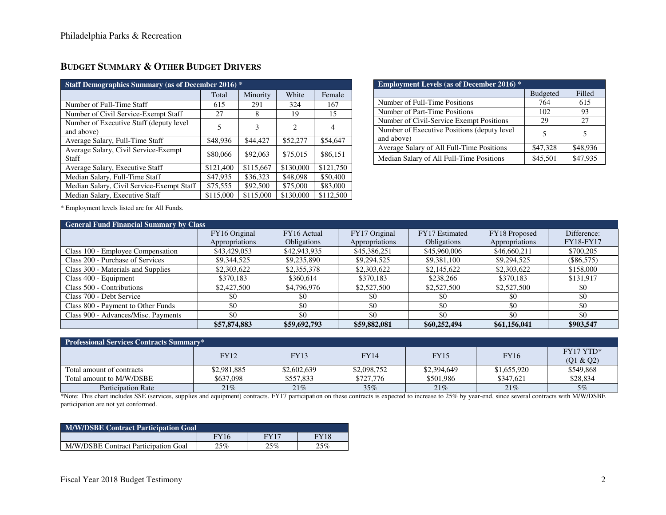| Staff Demographics Summary (as of December 2016) *    |           |           |           |                |  |  |
|-------------------------------------------------------|-----------|-----------|-----------|----------------|--|--|
|                                                       | Total     | Minority  | White     | Female         |  |  |
| Number of Full-Time Staff                             | 615       | 291       | 324       | 167            |  |  |
| Number of Civil Service-Exempt Staff                  | 27        | 8         | 19        | 15             |  |  |
| Number of Executive Staff (deputy level<br>and above) | 5         | 3         | 2         | $\overline{4}$ |  |  |
| Average Salary, Full-Time Staff                       | \$48,936  | \$44,427  | \$52,277  | \$54,647       |  |  |
| Average Salary, Civil Service-Exempt<br>Staff         | \$80,066  | \$92,063  | \$75,015  | \$86,151       |  |  |
| Average Salary, Executive Staff                       | \$121,400 | \$115,667 | \$130,000 | \$121,750      |  |  |
| Median Salary, Full-Time Staff                        | \$47,935  | \$36,323  | \$48,098  | \$50,400       |  |  |
| Median Salary, Civil Service-Exempt Staff             | \$75,555  | \$92,500  | \$75,000  | \$83,000       |  |  |
| Median Salary, Executive Staff                        | \$115,000 | \$115,000 | \$130,000 | \$112,500      |  |  |

| <b>Employment Levels (as of December 2016)</b> $*$         |                 |          |
|------------------------------------------------------------|-----------------|----------|
|                                                            | <b>Budgeted</b> | Filled   |
| Number of Full-Time Positions                              | 764             | 615      |
| Number of Part-Time Positions                              | 102             | 93       |
| Number of Civil-Service Exempt Positions                   | 29              | 27       |
| Number of Executive Positions (deputy level)<br>and above) |                 |          |
| Average Salary of All Full-Time Positions                  | \$47,328        | \$48,936 |
| Median Salary of All Full-Time Positions                   | \$45,501        | \$47,935 |

\* Employment levels listed are for All Funds.

| <b>General Fund Financial Summary by Class</b> |                |                    |                |                    |                |                  |  |  |
|------------------------------------------------|----------------|--------------------|----------------|--------------------|----------------|------------------|--|--|
|                                                | FY16 Original  | FY16 Actual        | FY17 Original  | FY17 Estimated     | FY18 Proposed  | Difference:      |  |  |
|                                                | Appropriations | <b>Obligations</b> | Appropriations | <b>Obligations</b> | Appropriations | <b>FY18-FY17</b> |  |  |
| Class 100 - Employee Compensation              | \$43,429,053   | \$42,943,935       | \$45,386,251   | \$45,960,006       | \$46,660,211   | \$700,205        |  |  |
| Class 200 - Purchase of Services               | \$9,344,525    | \$9,235,890        | \$9,294,525    | \$9,381,100        | \$9,294,525    | $(\$86,575)$     |  |  |
| Class 300 - Materials and Supplies             | \$2,303,622    | \$2,355,378        | \$2,303,622    | \$2,145,622        | \$2,303,622    | \$158,000        |  |  |
| Class 400 - Equipment                          | \$370.183      | \$360,614          | \$370.183      | \$238,266          | \$370.183      | \$131,917        |  |  |
| Class 500 - Contributions                      | \$2,427,500    | \$4,796,976        | \$2,527,500    | \$2,527,500        | \$2,527,500    | \$0              |  |  |
| Class 700 - Debt Service                       | \$0            | -\$0               | \$0            | \$0                | \$0            | \$0              |  |  |
| Class 800 - Payment to Other Funds             | \$0            | \$0                | \$0            | \$0                | \$0            | \$0              |  |  |
| Class 900 - Advances/Misc. Payments            | \$0            | \$0                | \$0            | \$0                | \$0            | \$0              |  |  |
|                                                | \$57,874,883   | \$59,692,793       | \$59,882,081   | \$60,252,494       | \$61,156,041   | \$903,547        |  |  |

| <b>Professional Services Contracts Summary*</b> |             |             |             |             |             |                          |  |
|-------------------------------------------------|-------------|-------------|-------------|-------------|-------------|--------------------------|--|
|                                                 | <b>FY12</b> | <b>FY13</b> | <b>FY14</b> | <b>FY15</b> | <b>FY16</b> | $FY17 YTD*$<br>(Q1 & Q2) |  |
| Total amount of contracts                       | \$2,981,885 | \$2,602,639 | \$2,098,752 | \$2,394,649 | \$1,655,920 | \$549,868                |  |
| Total amount to M/W/DSBE                        | \$637.098   | \$557,833   | \$727,776   | \$501.986   | \$347.621   | \$28,834                 |  |
| <b>Participation Rate</b>                       | 21%         | 21%         | 35%         | 21%         | 21%         | 5%                       |  |

\*Note: This chart includes SSE (services, supplies and equipment) contracts. FY17 participation on these contracts is expected to increase to 25% by year-end, since several contracts with M/W/DSBE participation are not yet conformed.

| M/W/DSBE Contract Participation Goal |             |      |             |  |  |  |
|--------------------------------------|-------------|------|-------------|--|--|--|
|                                      | <b>FY16</b> | FY17 | <b>FY18</b> |  |  |  |
| M/W/DSBE Contract Participation Goal | 25%         | 25%  | 25%         |  |  |  |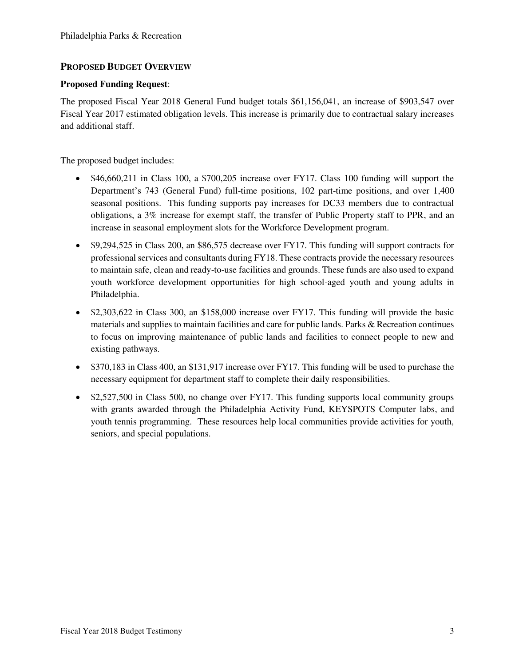### **PROPOSED BUDGET OVERVIEW**

#### **Proposed Funding Request**:

The proposed Fiscal Year 2018 General Fund budget totals \$61,156,041, an increase of \$903,547 over Fiscal Year 2017 estimated obligation levels. This increase is primarily due to contractual salary increases and additional staff.

The proposed budget includes:

- \$46,660,211 in Class 100, a \$700,205 increase over FY17. Class 100 funding will support the Department's 743 (General Fund) full-time positions, 102 part-time positions, and over 1,400 seasonal positions. This funding supports pay increases for DC33 members due to contractual obligations, a 3% increase for exempt staff, the transfer of Public Property staff to PPR, and an increase in seasonal employment slots for the Workforce Development program.
- \$9,294,525 in Class 200, an \$86,575 decrease over FY17. This funding will support contracts for professional services and consultants during FY18. These contracts provide the necessary resources to maintain safe, clean and ready-to-use facilities and grounds. These funds are also used to expand youth workforce development opportunities for high school-aged youth and young adults in Philadelphia.
- \$2,303,622 in Class 300, an \$158,000 increase over FY17. This funding will provide the basic materials and supplies to maintain facilities and care for public lands. Parks & Recreation continues to focus on improving maintenance of public lands and facilities to connect people to new and existing pathways.
- \$370,183 in Class 400, an \$131,917 increase over FY17. This funding will be used to purchase the necessary equipment for department staff to complete their daily responsibilities.
- \$2,527,500 in Class 500, no change over FY17. This funding supports local community groups with grants awarded through the Philadelphia Activity Fund, KEYSPOTS Computer labs, and youth tennis programming. These resources help local communities provide activities for youth, seniors, and special populations.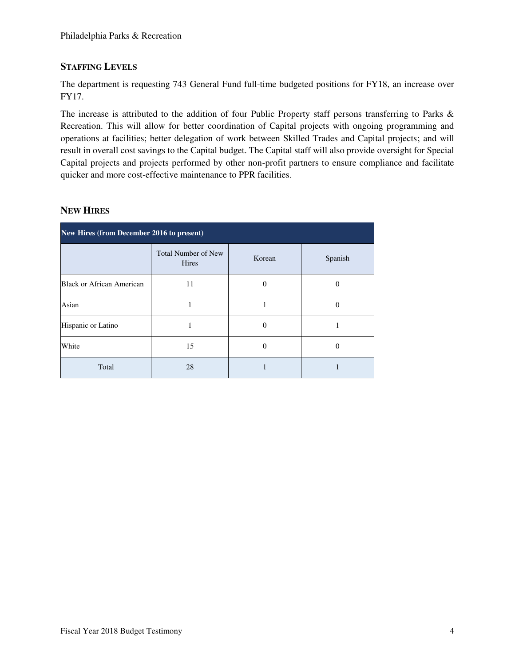# **STAFFING LEVELS**

The department is requesting 743 General Fund full-time budgeted positions for FY18, an increase over FY17.

The increase is attributed to the addition of four Public Property staff persons transferring to Parks & Recreation. This will allow for better coordination of Capital projects with ongoing programming and operations at facilities; better delegation of work between Skilled Trades and Capital projects; and will result in overall cost savings to the Capital budget. The Capital staff will also provide oversight for Special Capital projects and projects performed by other non-profit partners to ensure compliance and facilitate quicker and more cost-effective maintenance to PPR facilities.

# **NEW HIRES**

| New Hires (from December 2016 to present) |                                     |                   |         |  |  |
|-------------------------------------------|-------------------------------------|-------------------|---------|--|--|
|                                           | <b>Total Number of New</b><br>Hires | Korean            | Spanish |  |  |
| Black or African American                 | 11                                  | $\theta$          |         |  |  |
| Asian                                     |                                     |                   | 0       |  |  |
| Hispanic or Latino                        |                                     | $\mathbf{\Omega}$ |         |  |  |
| White                                     | 15                                  | $\mathbf{\Omega}$ | 0       |  |  |
| Total                                     | 28                                  |                   |         |  |  |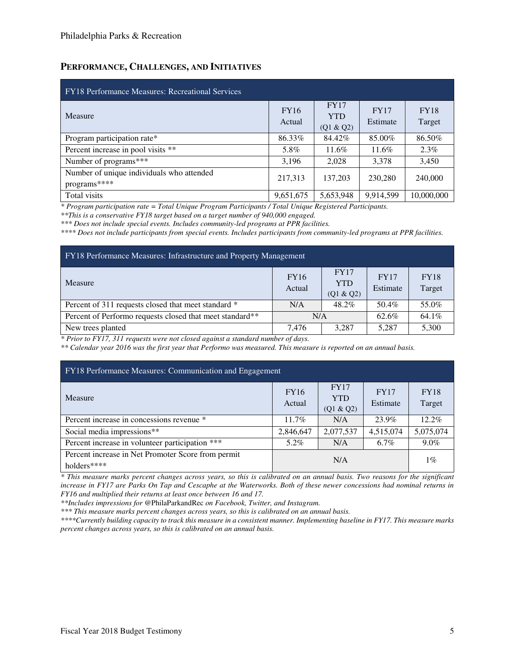### **PERFORMANCE, CHALLENGES, AND INITIATIVES**

| <b>FY18</b> Performance Measures: Recreational Services   |                       |                                        |                         |                       |  |  |
|-----------------------------------------------------------|-----------------------|----------------------------------------|-------------------------|-----------------------|--|--|
| Measure                                                   | <b>FY16</b><br>Actual | <b>FY17</b><br><b>YTD</b><br>(Q1 & Q2) | <b>FY17</b><br>Estimate | <b>FY18</b><br>Target |  |  |
| Program participation rate*                               | 86.33%                | 84.42%                                 | 85.00%                  | 86.50%                |  |  |
| Percent increase in pool visits **                        | 5.8%                  | 11.6%                                  | 11.6%                   | $2.3\%$               |  |  |
| Number of programs***                                     | 3,196                 | 2,028                                  | 3,378                   | 3,450                 |  |  |
| Number of unique individuals who attended<br>programs**** | 217,313               | 137,203                                | 230,280                 | 240,000               |  |  |
| Total visits                                              | 9,651,675             | 5,653,948                              | 9,914,599               | 10,000,000            |  |  |

*\* Program participation rate = Total Unique Program Participants / Total Unique Registered Participants.* 

*\*\*This is a conservative FY18 target based on a target number of 940,000 engaged.* 

*\*\*\* Does not include special events. Includes community-led programs at PPR facilities.* 

*\*\*\*\* Does not include participants from special events. Includes participants from community-led programs at PPR facilities.* 

| FY18 Performance Measures: Infrastructure and Property Management                                     |       |       |       |       |  |  |
|-------------------------------------------------------------------------------------------------------|-------|-------|-------|-------|--|--|
| <b>FY17</b><br><b>FY16</b><br><b>FY17</b><br>Measure<br><b>YTD</b><br>Actual<br>Estimate<br>(Q1 & Q2) |       |       |       |       |  |  |
| Percent of 311 requests closed that meet standard *                                                   | N/A   | 48.2% | 50.4% | 55.0% |  |  |
| Percent of Performo requests closed that meet standard**                                              | N/A   |       | 62.6% | 64.1% |  |  |
| New trees planted                                                                                     | 7.476 | 3.287 | 5.287 | 5,300 |  |  |

*\* Prior to FY17, 311 requests were not closed against a standard number of days.* 

*\*\* Calendar year 2016 was the first year that Performo was measured. This measure is reported on an annual basis.* 

| FY18 Performance Measures: Communication and Engagement                  |                       |                                        |                         |                       |  |  |
|--------------------------------------------------------------------------|-----------------------|----------------------------------------|-------------------------|-----------------------|--|--|
| Measure                                                                  | <b>FY16</b><br>Actual | <b>FY17</b><br><b>YTD</b><br>(Q1 & Q2) | <b>FY17</b><br>Estimate | <b>FY18</b><br>Target |  |  |
| Percent increase in concessions revenue *                                | $11.7\%$              | N/A                                    | 23.9%                   | $12.2\%$              |  |  |
| Social media impressions**                                               | 2,846,647             | 2,077,537                              | 4,515,074               | 5,075,074             |  |  |
| Percent increase in volunteer participation ***                          | 5.2%                  | N/A                                    | $6.7\%$                 | $9.0\%$               |  |  |
| Percent increase in Net Promoter Score from permit<br>N/A<br>holders**** |                       |                                        |                         |                       |  |  |

*\* This measure marks percent changes across years, so this is calibrated on an annual basis. Two reasons for the significant increase in FY17 are Parks On Tap and Cescaphe at the Waterworks. Both of these newer concessions had nominal returns in FY16 and multiplied their returns at least once between 16 and 17.* 

*\*\*Includes impressions for* @PhilaParkandRec *on Facebook, Twitter, and Instagram.* 

*\*\*\* This measure marks percent changes across years, so this is calibrated on an annual basis.* 

*\*\*\*\*Currently building capacity to track this measure in a consistent manner. Implementing baseline in FY17. This measure marks percent changes across years, so this is calibrated on an annual basis.*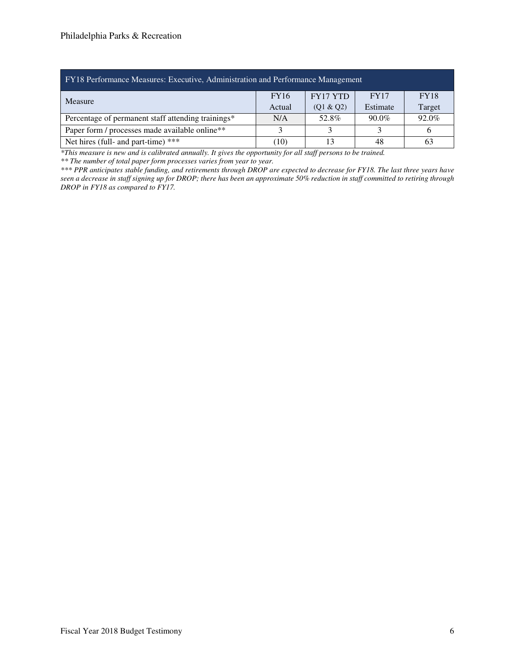| FY18 Performance Measures: Executive, Administration and Performance Management         |                        |                 |             |             |  |  |  |  |
|-----------------------------------------------------------------------------------------|------------------------|-----------------|-------------|-------------|--|--|--|--|
| Measure                                                                                 | <b>FY16</b>            | <b>FY17 YTD</b> | <b>FY17</b> | <b>FY18</b> |  |  |  |  |
|                                                                                         | Actual                 | (Q1 & Q2)       | Estimate    | Target      |  |  |  |  |
| 92.0%<br>$90.0\%$<br>Percentage of permanent staff attending trainings*<br>52.8%<br>N/A |                        |                 |             |             |  |  |  |  |
| Paper form / processes made available online**<br>6                                     |                        |                 |             |             |  |  |  |  |
| Net hires (full- and part-time) ***                                                     | (10)<br>13<br>48<br>63 |                 |             |             |  |  |  |  |

*\*This measure is new and is calibrated annually. It gives the opportunity for all staff persons to be trained.* 

*\*\* The number of total paper form processes varies from year to year.* 

*\*\*\* PPR anticipates stable funding, and retirements through DROP are expected to decrease for FY18. The last three years have seen a decrease in staff signing up for DROP; there has been an approximate 50% reduction in staff committed to retiring through DROP in FY18 as compared to FY17.*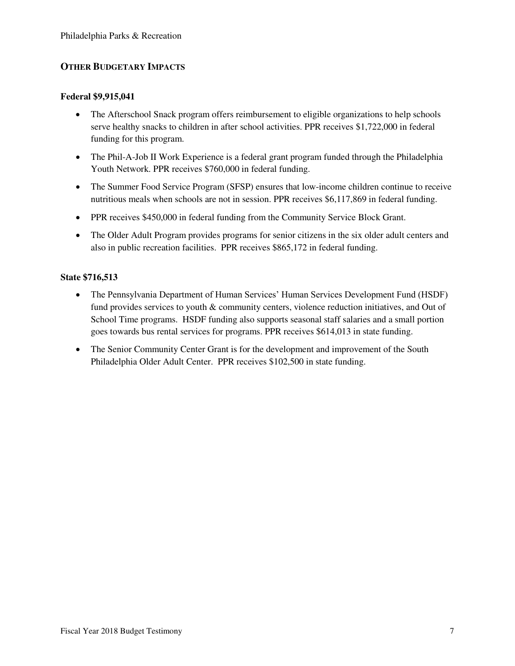## **OTHER BUDGETARY IMPACTS**

#### **Federal \$9,915,041**

- The Afterschool Snack program offers reimbursement to eligible organizations to help schools serve healthy snacks to children in after school activities. PPR receives \$1,722,000 in federal funding for this program.
- The Phil-A-Job II Work Experience is a federal grant program funded through the Philadelphia Youth Network. PPR receives \$760,000 in federal funding.
- The Summer Food Service Program (SFSP) ensures that low-income children continue to receive nutritious meals when schools are not in session. PPR receives \$6,117,869 in federal funding.
- PPR receives \$450,000 in federal funding from the Community Service Block Grant.
- The Older Adult Program provides programs for senior citizens in the six older adult centers and also in public recreation facilities. PPR receives \$865,172 in federal funding.

#### **State \$716,513**

- The Pennsylvania Department of Human Services' Human Services Development Fund (HSDF) fund provides services to youth & community centers, violence reduction initiatives, and Out of School Time programs. HSDF funding also supports seasonal staff salaries and a small portion goes towards bus rental services for programs. PPR receives \$614,013 in state funding.
- The Senior Community Center Grant is for the development and improvement of the South Philadelphia Older Adult Center. PPR receives \$102,500 in state funding.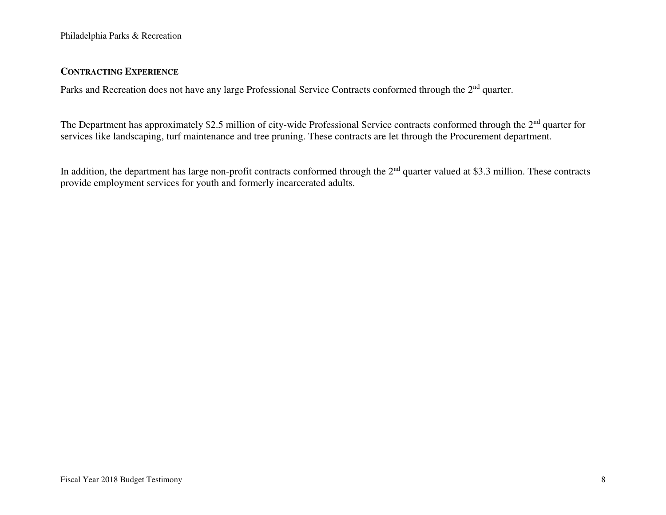#### **CONTRACTING EXPERIENCE**

Parks and Recreation does not have any large Professional Service Contracts conformed through the 2<sup>nd</sup> quarter.

The Department has approximately \$2.5 million of city-wide Professional Service contracts conformed through the 2<sup>nd</sup> quarter for services like landscaping, turf maintenance and tree pruning. These contracts are let through the Procurement department.

In addition, the department has large non-profit contracts conformed through the  $2<sup>nd</sup>$  quarter valued at \$3.3 million. These contracts provide employment services for youth and formerly incarcerated adults.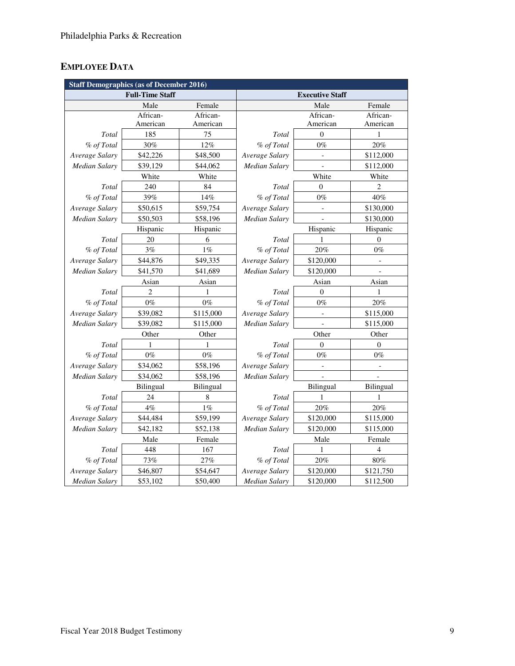# **EMPLOYEE DATA**

| <b>Staff Demographics (as of December 2016)</b> |                        |           |                      |                        |                          |
|-------------------------------------------------|------------------------|-----------|----------------------|------------------------|--------------------------|
|                                                 | <b>Full-Time Staff</b> |           |                      | <b>Executive Staff</b> |                          |
|                                                 | Male                   | Female    |                      | Male                   | Female                   |
|                                                 | African-               | African-  |                      | African-               | African-                 |
|                                                 | American               | American  |                      | American               | American                 |
| Total                                           | 185                    | 75        | Total                | $\mathbf{0}$           | 1                        |
| % of Total                                      | 30%                    | 12%       | % of Total           | $0\%$                  | 20%                      |
| Average Salary                                  | \$42,226               | \$48,500  | Average Salary       |                        | \$112,000                |
| Median Salary                                   | \$39,129               | \$44,062  | Median Salary        |                        | \$112,000                |
|                                                 | White                  | White     |                      | White                  | White                    |
| Total                                           | 240                    | 84        | Total                | $\overline{0}$         | $\overline{c}$           |
| % of Total                                      | 39%                    | 14%       | % of Total           | $0\%$                  | 40%                      |
| Average Salary                                  | \$50,615               | \$59,754  | Average Salary       |                        | \$130,000                |
| Median Salary                                   | \$50,503               | \$58,196  | <b>Median Salary</b> |                        | \$130,000                |
|                                                 | Hispanic               | Hispanic  |                      | Hispanic               | Hispanic                 |
| Total                                           | 20                     | 6         | Total                | 1                      | $\theta$                 |
| % of Total                                      | 3%                     | $1\%$     | % of Total           | 20%                    | $0\%$                    |
| Average Salary                                  | \$44,876               | \$49,335  | Average Salary       | \$120,000              | $\overline{\phantom{0}}$ |
| Median Salary                                   | \$41,570               | \$41,689  | Median Salary        | \$120,000              |                          |
|                                                 | Asian                  | Asian     |                      | Asian                  | Asian                    |
| Total                                           | 2                      | 1         | Total                | $\mathbf{0}$           | 1                        |
| % of Total                                      | $0\%$                  | $0\%$     | % of Total           | $0\%$                  | 20%                      |
| Average Salary                                  | \$39,082               | \$115,000 | Average Salary       | $\blacksquare$         | \$115,000                |
| Median Salary                                   | \$39,082               | \$115,000 | <b>Median Salary</b> |                        | \$115,000                |
|                                                 | Other                  | Other     |                      | Other                  | Other                    |
| Total                                           | 1                      | 1         | Total                | $\theta$               | $\Omega$                 |
| % of Total                                      | $0\%$                  | $0\%$     | % of Total           | $0\%$                  | $0\%$                    |
| Average Salary                                  | \$34,062               | \$58,196  | Average Salary       |                        |                          |
| <b>Median Salary</b>                            | \$34,062               | \$58,196  | Median Salary        | $\overline{a}$         |                          |
|                                                 | Bilingual              | Bilingual |                      | Bilingual              | Bilingual                |
| Total                                           | 24                     | 8         | Total                | 1                      | 1                        |
| % of Total                                      | 4%                     | $1\%$     | % of Total           | 20%                    | $20\%$                   |
| Average Salary                                  | \$44,484               | \$59,199  | Average Salary       | \$120,000              | \$115,000                |
| <b>Median Salary</b>                            | \$42,182               | \$52,138  | Median Salary        | \$120,000              | \$115,000                |
|                                                 | Male                   | Female    |                      | Male                   | Female                   |
| Total                                           | 448                    | 167       | Total                | 1                      | 4                        |
| % of Total                                      | 73%                    | $27\%$    | % of Total           | 20%                    | $80\%$                   |
| Average Salary                                  | \$46,807               | \$54,647  | Average Salary       | \$120,000              | \$121,750                |
| <b>Median Salary</b>                            | \$53,102               | \$50,400  | <b>Median Salary</b> | \$120,000              | \$112,500                |